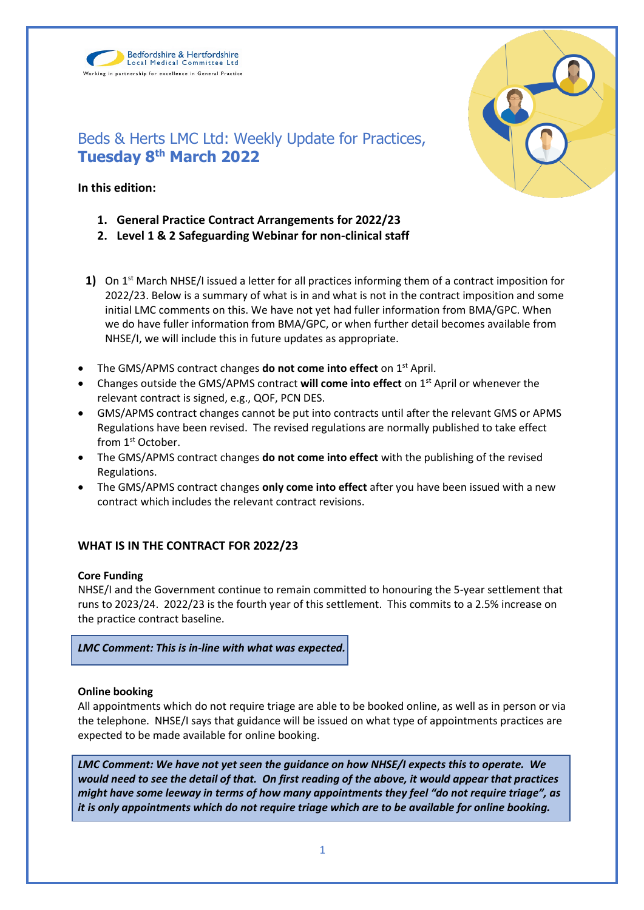Bedfordshire & Hertfordshire Local Medical Committee Ltd Working in partnership for excellence in General Practice



# Beds & Herts LMC Ltd: Weekly Update for Practices, **Tuesday 8th March 2022**

# **In this edition:**

- **1. General Practice Contract Arrangements for 2022/23**
- **2. Level 1 & 2 Safeguarding Webinar for non-clinical staff**
- **1)** On 1<sup>st</sup> March NHSE/I issued a letter for all practices informing them of a contract imposition for 2022/23. Below is a summary of what is in and what is not in the contract imposition and some initial LMC comments on this. We have not yet had fuller information from BMA/GPC. When we do have fuller information from BMA/GPC, or when further detail becomes available from NHSE/I, we will include this in future updates as appropriate.
- The GMS/APMS contract changes **do not come into effect** on 1st April.
- Changes outside the GMS/APMS contract **will come into effect** on 1st April or whenever the relevant contract is signed, e.g., QOF, PCN DES.
- GMS/APMS contract changes cannot be put into contracts until after the relevant GMS or APMS Regulations have been revised. The revised regulations are normally published to take effect from 1<sup>st</sup> October.
- The GMS/APMS contract changes **do not come into effect** with the publishing of the revised Regulations.
- The GMS/APMS contract changes **only come into effect** after you have been issued with a new contract which includes the relevant contract revisions.

# **WHAT IS IN THE CONTRACT FOR 2022/23**

# **Core Funding**

NHSE/I and the Government continue to remain committed to honouring the 5-year settlement that runs to 2023/24. 2022/23 is the fourth year of this settlement. This commits to a 2.5% increase on the practice contract baseline.

*LMC Comment: This is in-line with what was expected.*

# **Online booking**

All appointments which do not require triage are able to be booked online, as well as in person or via the telephone. NHSE/I says that guidance will be issued on what type of appointments practices are expected to be made available for online booking.

*LMC Comment: We have not yet seen the guidance on how NHSE/I expects this to operate. We would need to see the detail of that. On first reading of the above, it would appear that practices might have some leeway in terms of how many appointments they feel "do not require triage", as it is only appointments which do not require triage which are to be available for online booking.*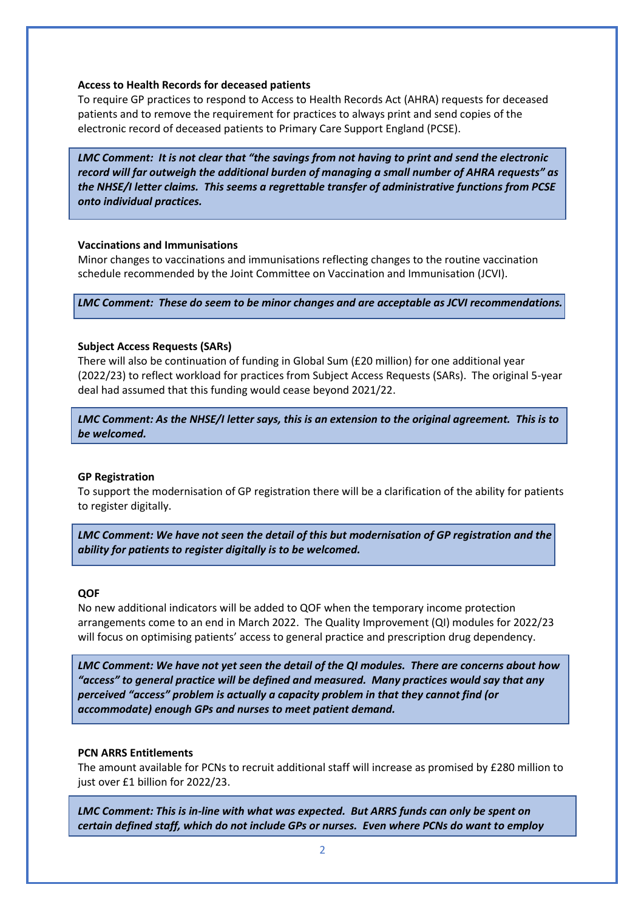#### **Access to Health Records for deceased patients**

To require GP practices to respond to Access to Health Records Act (AHRA) requests for deceased patients and to remove the requirement for practices to always print and send copies of the electronic record of deceased patients to Primary Care Support England (PCSE).

*LMC Comment: It is not clear that "the savings from not having to print and send the electronic record will far outweigh the additional burden of managing a small number of AHRA requests" as the NHSE/I letter claims. This seems a regrettable transfer of administrative functions from PCSE onto individual practices.* 

#### **Vaccinations and Immunisations**

Minor changes to vaccinations and immunisations reflecting changes to the routine vaccination schedule recommended by the Joint Committee on Vaccination and Immunisation (JCVI).

*LMC Comment: These do seem to be minor changes and are acceptable as JCVI recommendations.*

### **Subject Access Requests (SARs)**

There will also be continuation of funding in Global Sum (£20 million) for one additional year (2022/23) to reflect workload for practices from Subject Access Requests (SARs). The original 5-year deal had assumed that this funding would cease beyond 2021/22.

*LMC Comment: As the NHSE/I letter says, this is an extension to the original agreement. This is to be welcomed.*

#### **GP Registration**

To support the modernisation of GP registration there will be a clarification of the ability for patients to register digitally.

*LMC Comment: We have not seen the detail of this but modernisation of GP registration and the ability for patients to register digitally is to be welcomed.*

#### **QOF**

No new additional indicators will be added to QOF when the temporary income protection arrangements come to an end in March 2022. The Quality Improvement (QI) modules for 2022/23 will focus on optimising patients' access to general practice and prescription drug dependency.

*LMC Comment: We have not yet seen the detail of the QI modules. There are concerns about how "access" to general practice will be defined and measured. Many practices would say that any perceived "access" problem is actually a capacity problem in that they cannot find (or accommodate) enough GPs and nurses to meet patient demand.* 

#### **PCN ARRS Entitlements**

The amount available for PCNs to recruit additional staff will increase as promised by £280 million to just over £1 billion for 2022/23.

*LMC Comment: This is in-line with what was expected. But ARRS funds can only be spent on certain defined staff, which do not include GPs or nurses. Even where PCNs do want to employ*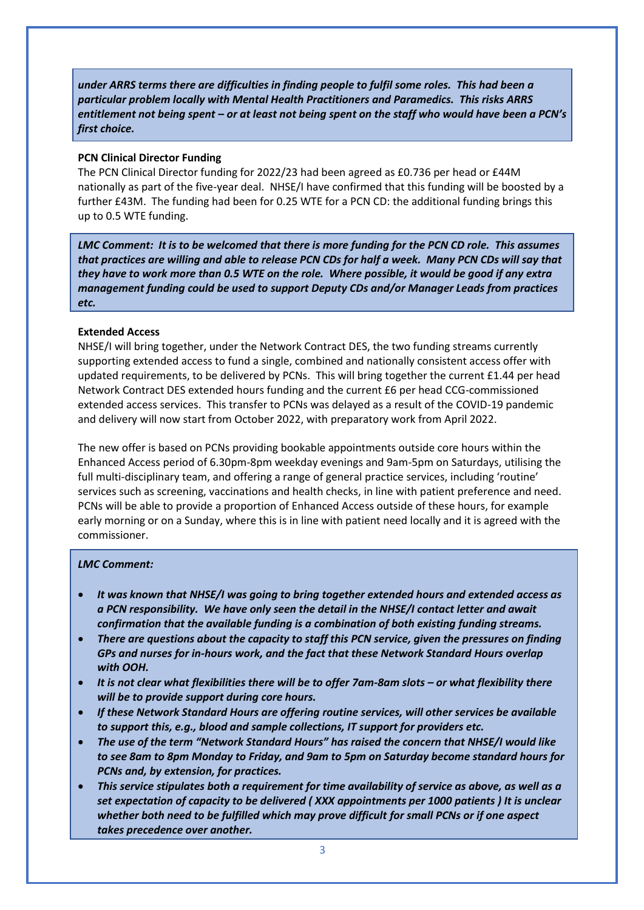*under ARRS terms there are difficulties in finding people to fulfil some roles. This had been a particular problem locally with Mental Health Practitioners and Paramedics. This risks ARRS entitlement not being spent – or at least not being spent on the staff who would have been a PCN's first choice.*

### **PCN Clinical Director Funding**

The PCN Clinical Director funding for 2022/23 had been agreed as £0.736 per head or £44M nationally as part of the five-year deal. NHSE/I have confirmed that this funding will be boosted by a further £43M. The funding had been for 0.25 WTE for a PCN CD: the additional funding brings this up to 0.5 WTE funding.

*LMC Comment: It is to be welcomed that there is more funding for the PCN CD role. This assumes that practices are willing and able to release PCN CDs for half a week. Many PCN CDs will say that they have to work more than 0.5 WTE on the role. Where possible, it would be good if any extra management funding could be used to support Deputy CDs and/or Manager Leads from practices etc.*

## **Extended Access**

NHSE/I will bring together, under the Network Contract DES, the two funding streams currently supporting extended access to fund a single, combined and nationally consistent access offer with updated requirements, to be delivered by PCNs. This will bring together the current £1.44 per head Network Contract DES extended hours funding and the current £6 per head CCG-commissioned extended access services. This transfer to PCNs was delayed as a result of the COVID-19 pandemic and delivery will now start from October 2022, with preparatory work from April 2022.

The new offer is based on PCNs providing bookable appointments outside core hours within the Enhanced Access period of 6.30pm-8pm weekday evenings and 9am-5pm on Saturdays, utilising the full multi-disciplinary team, and offering a range of general practice services, including 'routine' services such as screening, vaccinations and health checks, in line with patient preference and need. PCNs will be able to provide a proportion of Enhanced Access outside of these hours, for example early morning or on a Sunday, where this is in line with patient need locally and it is agreed with the commissioner.

## *LMC Comment:*

- *It was known that NHSE/I was going to bring together extended hours and extended access as a PCN responsibility. We have only seen the detail in the NHSE/I contact letter and await confirmation that the available funding is a combination of both existing funding streams.*
- *There are questions about the capacity to staff this PCN service, given the pressures on finding GPs and nurses for in-hours work, and the fact that these Network Standard Hours overlap with OOH.*
- It is not clear what flexibilities there will be to offer 7am-8am slots or what flexibility there *will be to provide support during core hours.*
- *If these Network Standard Hours are offering routine services, will other services be available to support this, e.g., blood and sample collections, IT support for providers etc.*
- *The use of the term "Network Standard Hours" has raised the concern that NHSE/I would like to see 8am to 8pm Monday to Friday, and 9am to 5pm on Saturday become standard hours for PCNs and, by extension, for practices.*
- *This service stipulates both a requirement for time availability of service as above, as well as a set expectation of capacity to be delivered ( XXX appointments per 1000 patients ) It is unclear whether both need to be fulfilled which may prove difficult for small PCNs or if one aspect takes precedence over another.*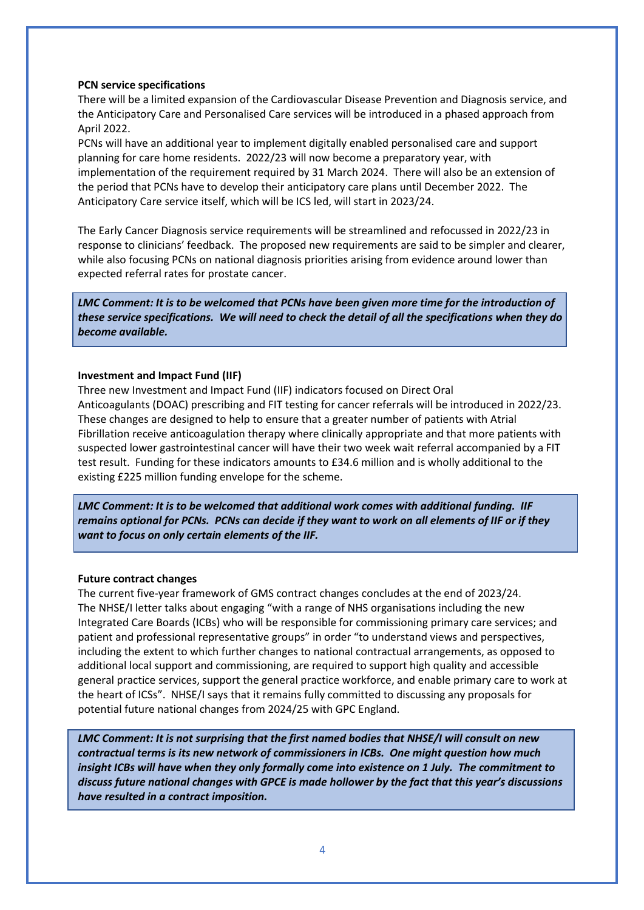#### **PCN service specifications**

There will be a limited expansion of the Cardiovascular Disease Prevention and Diagnosis service, and the Anticipatory Care and Personalised Care services will be introduced in a phased approach from April 2022.

PCNs will have an additional year to implement digitally enabled personalised care and support planning for care home residents. 2022/23 will now become a preparatory year, with implementation of the requirement required by 31 March 2024. There will also be an extension of the period that PCNs have to develop their anticipatory care plans until December 2022. The Anticipatory Care service itself, which will be ICS led, will start in 2023/24.

The Early Cancer Diagnosis service requirements will be streamlined and refocussed in 2022/23 in response to clinicians' feedback. The proposed new requirements are said to be simpler and clearer, while also focusing PCNs on national diagnosis priorities arising from evidence around lower than expected referral rates for prostate cancer.

*LMC Comment: It is to be welcomed that PCNs have been given more time for the introduction of these service specifications. We will need to check the detail of all the specifications when they do become available.*

### **Investment and Impact Fund (IIF)**

Three new Investment and Impact Fund (IIF) indicators focused on Direct Oral Anticoagulants (DOAC) prescribing and FIT testing for cancer referrals will be introduced in 2022/23. These changes are designed to help to ensure that a greater number of patients with Atrial Fibrillation receive anticoagulation therapy where clinically appropriate and that more patients with suspected lower gastrointestinal cancer will have their two week wait referral accompanied by a FIT test result. Funding for these indicators amounts to £34.6 million and is wholly additional to the existing £225 million funding envelope for the scheme.

*LMC Comment: It is to be welcomed that additional work comes with additional funding. IIF remains optional for PCNs. PCNs can decide if they want to work on all elements of IIF or if they want to focus on only certain elements of the IIF.*

## **Future contract changes**

The current five-year framework of GMS contract changes concludes at the end of 2023/24. The NHSE/I letter talks about engaging "with a range of NHS organisations including the new Integrated Care Boards (ICBs) who will be responsible for commissioning primary care services; and patient and professional representative groups" in order "to understand views and perspectives, including the extent to which further changes to national contractual arrangements, as opposed to additional local support and commissioning, are required to support high quality and accessible general practice services, support the general practice workforce, and enable primary care to work at the heart of ICSs". NHSE/I says that it remains fully committed to discussing any proposals for potential future national changes from 2024/25 with GPC England.

*LMC Comment: It is not surprising that the first named bodies that NHSE/I will consult on new contractual terms is its new network of commissioners in ICBs. One might question how much insight ICBs will have when they only formally come into existence on 1 July. The commitment to discuss future national changes with GPCE is made hollower by the fact that this year's discussions have resulted in a contract imposition.*